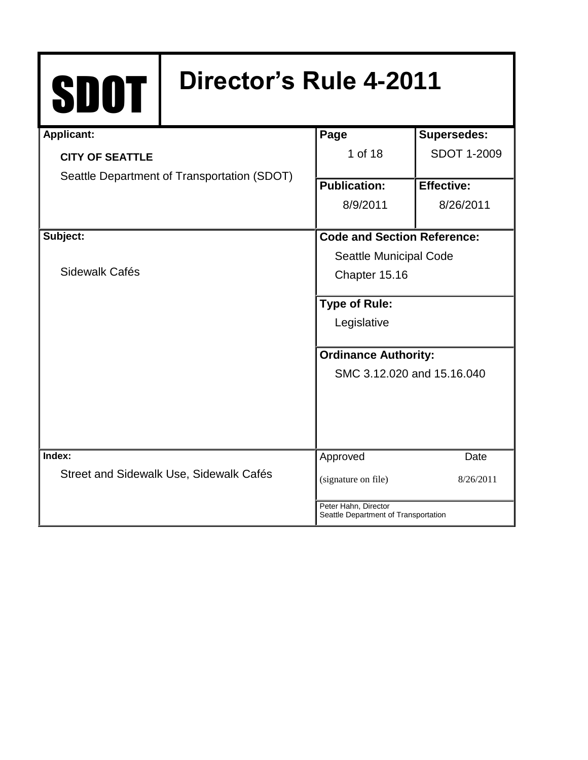# SDOT **Director's Rule 4-2011**

| <b>Applicant:</b>                           |                                         | Page                                                         | <b>Supersedes:</b> |
|---------------------------------------------|-----------------------------------------|--------------------------------------------------------------|--------------------|
| <b>CITY OF SEATTLE</b>                      |                                         | 1 of 18                                                      | <b>SDOT 1-2009</b> |
| Seattle Department of Transportation (SDOT) |                                         |                                                              |                    |
|                                             |                                         | <b>Publication:</b>                                          | <b>Effective:</b>  |
|                                             |                                         | 8/9/2011                                                     | 8/26/2011          |
|                                             |                                         |                                                              |                    |
| Subject:                                    |                                         | Code and Section Reference:                                  |                    |
|                                             |                                         | Seattle Municipal Code                                       |                    |
| Sidewalk Cafés                              |                                         | Chapter 15.16                                                |                    |
|                                             |                                         | <b>Type of Rule:</b>                                         |                    |
|                                             |                                         |                                                              |                    |
|                                             |                                         | Legislative                                                  |                    |
|                                             |                                         | <b>Ordinance Authority:</b>                                  |                    |
|                                             |                                         | SMC 3.12.020 and 15.16.040                                   |                    |
|                                             |                                         |                                                              |                    |
|                                             |                                         |                                                              |                    |
|                                             |                                         |                                                              |                    |
| Index:                                      |                                         | Approved                                                     | Date               |
|                                             | Street and Sidewalk Use, Sidewalk Cafés | (signature on file)                                          | 8/26/2011          |
|                                             |                                         |                                                              |                    |
|                                             |                                         | Peter Hahn, Director<br>Seattle Department of Transportation |                    |
|                                             |                                         |                                                              |                    |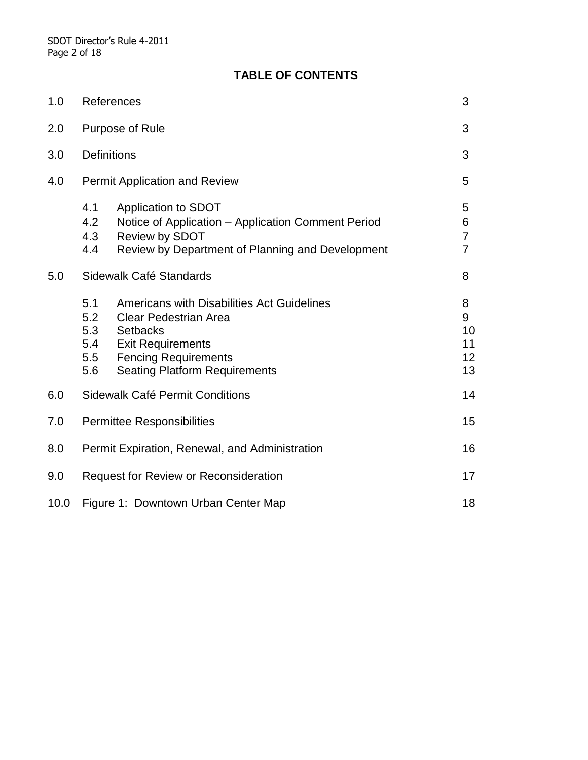# **TABLE OF CONTENTS**

| 1.0  | References                                                                                                                                                                                                                                 |                                            |  |
|------|--------------------------------------------------------------------------------------------------------------------------------------------------------------------------------------------------------------------------------------------|--------------------------------------------|--|
| 2.0  | Purpose of Rule                                                                                                                                                                                                                            |                                            |  |
| 3.0  | <b>Definitions</b>                                                                                                                                                                                                                         |                                            |  |
| 4.0  | <b>Permit Application and Review</b>                                                                                                                                                                                                       |                                            |  |
|      | Application to SDOT<br>4.1<br>4.2<br>Notice of Application - Application Comment Period<br>4.3<br>Review by SDOT<br>4.4<br>Review by Department of Planning and Development                                                                | 5<br>6<br>$\overline{7}$<br>$\overline{7}$ |  |
| 5.0  | Sidewalk Café Standards                                                                                                                                                                                                                    |                                            |  |
|      | 5.1<br>Americans with Disabilities Act Guidelines<br>5.2<br><b>Clear Pedestrian Area</b><br>5.3<br><b>Setbacks</b><br>5.4<br><b>Exit Requirements</b><br>5.5<br><b>Fencing Requirements</b><br>5.6<br><b>Seating Platform Requirements</b> | 8<br>9<br>10<br>11<br>12<br>13             |  |
| 6.0  | Sidewalk Café Permit Conditions                                                                                                                                                                                                            |                                            |  |
| 7.0  | 15<br><b>Permittee Responsibilities</b>                                                                                                                                                                                                    |                                            |  |
| 8.0  | Permit Expiration, Renewal, and Administration                                                                                                                                                                                             |                                            |  |
| 9.0  | <b>Request for Review or Reconsideration</b>                                                                                                                                                                                               |                                            |  |
| 10.0 | 18<br>Figure 1: Downtown Urban Center Map                                                                                                                                                                                                  |                                            |  |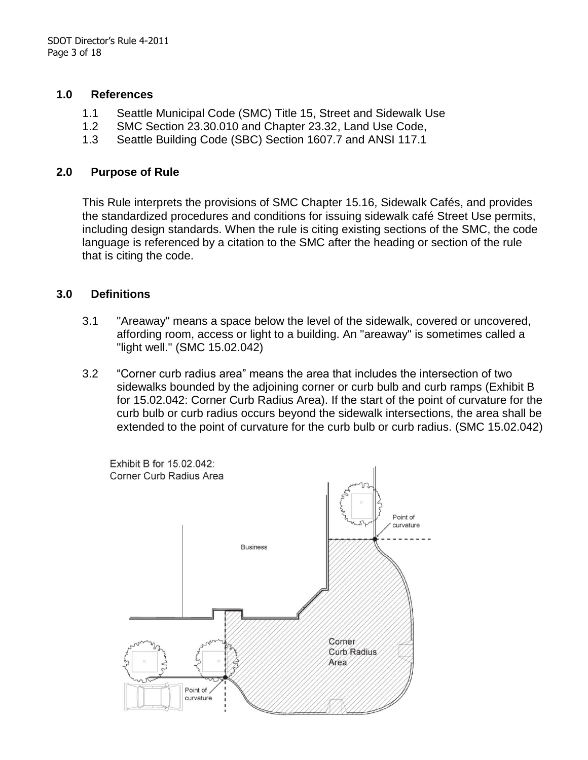#### **1.0 References**

- 1.1 Seattle Municipal Code (SMC) Title 15, Street and Sidewalk Use
- 1.2 SMC Section 23.30.010 and Chapter 23.32, Land Use Code,
- 1.3 Seattle Building Code (SBC) Section 1607.7 and ANSI 117.1

#### **2.0 Purpose of Rule**

This Rule interprets the provisions of SMC Chapter 15.16, Sidewalk Cafés, and provides the standardized procedures and conditions for issuing sidewalk café Street Use permits, including design standards. When the rule is citing existing sections of the SMC, the code language is referenced by a citation to the SMC after the heading or section of the rule that is citing the code.

### **3.0 Definitions**

- 3.1 "Areaway" means a space below the level of the sidewalk, covered or uncovered, affording room, access or light to a building. An "areaway" is sometimes called a "light well." (SMC 15.02.042)
- 3.2 "Corner curb radius area" means the area that includes the intersection of two sidewalks bounded by the adjoining corner or curb bulb and curb ramps (Exhibit B for 15.02.042: Corner Curb Radius Area). If the start of the point of curvature for the curb bulb or curb radius occurs beyond the sidewalk intersections, the area shall be extended to the point of curvature for the curb bulb or curb radius. (SMC 15.02.042)

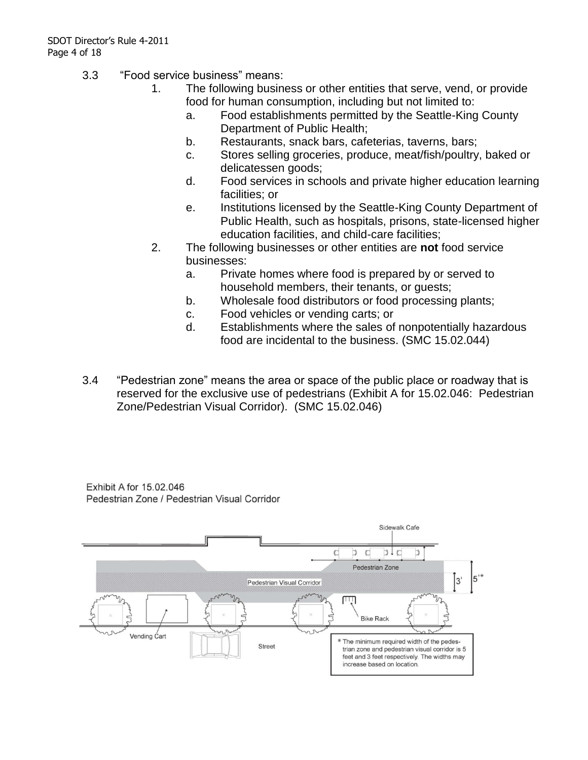- 3.3 "Food service business" means:
	- 1. The following business or other entities that serve, vend, or provide food for human consumption, including but not limited to:
		- a. Food establishments permitted by the Seattle-King County Department of Public Health;
		- b. Restaurants, snack bars, cafeterias, taverns, bars;
		- c. Stores selling groceries, produce, meat/fish/poultry, baked or delicatessen goods;
		- d. Food services in schools and private higher education learning facilities; or
		- e. Institutions licensed by the Seattle-King County Department of Public Health, such as hospitals, prisons, state-licensed higher education facilities, and child-care facilities;
	- 2. The following businesses or other entities are **not** food service businesses:
		- a. Private homes where food is prepared by or served to household members, their tenants, or guests;
		- b. Wholesale food distributors or food processing plants;
		- c. Food vehicles or vending carts; or
		- d. Establishments where the sales of nonpotentially hazardous food are incidental to the business. (SMC 15.02.044)
- 3.4 "Pedestrian zone" means the area or space of the public place or roadway that is reserved for the exclusive use of pedestrians (Exhibit A for 15.02.046: Pedestrian Zone/Pedestrian Visual Corridor). (SMC 15.02.046)

Exhibit A for 15.02.046 Pedestrian Zone / Pedestrian Visual Corridor

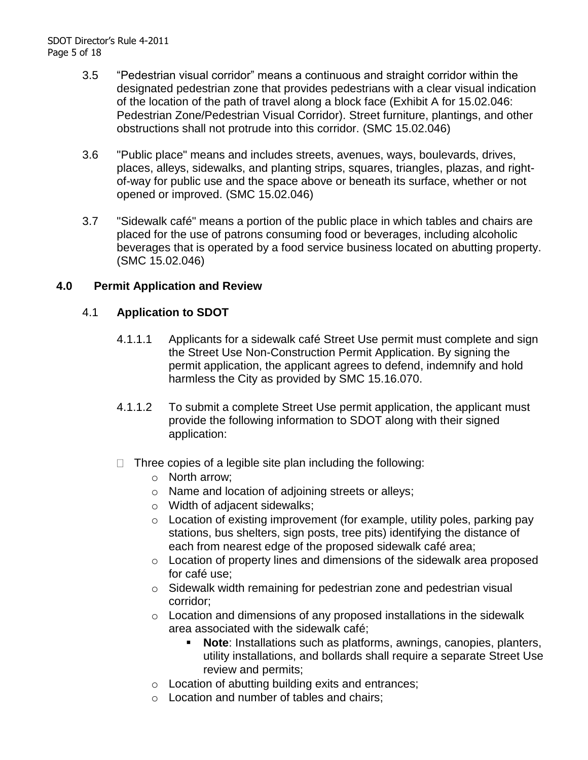- 3.5 "Pedestrian visual corridor" means a continuous and straight corridor within the designated pedestrian zone that provides pedestrians with a clear visual indication of the location of the path of travel along a block face (Exhibit A for 15.02.046: Pedestrian Zone/Pedestrian Visual Corridor). Street furniture, plantings, and other obstructions shall not protrude into this corridor. (SMC 15.02.046)
- 3.6 "Public place" means and includes streets, avenues, ways, boulevards, drives, places, alleys, sidewalks, and planting strips, squares, triangles, plazas, and rightof-way for public use and the space above or beneath its surface, whether or not opened or improved. (SMC 15.02.046)
- 3.7 "Sidewalk café" means a portion of the public place in which tables and chairs are placed for the use of patrons consuming food or beverages, including alcoholic beverages that is operated by a food service business located on abutting property. (SMC 15.02.046)

### **4.0 Permit Application and Review**

### 4.1 **Application to SDOT**

- 4.1.1.1 Applicants for a sidewalk café Street Use permit must complete and sign the Street Use Non-Construction Permit Application. By signing the permit application, the applicant agrees to defend, indemnify and hold harmless the City as provided by SMC 15.16.070.
- 4.1.1.2 To submit a complete Street Use permit application, the applicant must provide the following information to SDOT along with their signed application:
- $\Box$  Three copies of a legible site plan including the following:
	- o North arrow;
	- o Name and location of adjoining streets or alleys;
	- o Width of adjacent sidewalks;
	- o Location of existing improvement (for example, utility poles, parking pay stations, bus shelters, sign posts, tree pits) identifying the distance of each from nearest edge of the proposed sidewalk café area;
	- o Location of property lines and dimensions of the sidewalk area proposed for café use;
	- o Sidewalk width remaining for pedestrian zone and pedestrian visual corridor;
	- o Location and dimensions of any proposed installations in the sidewalk area associated with the sidewalk café;
		- **Note**: Installations such as platforms, awnings, canopies, planters, utility installations, and bollards shall require a separate Street Use review and permits;
	- o Location of abutting building exits and entrances;
	- o Location and number of tables and chairs;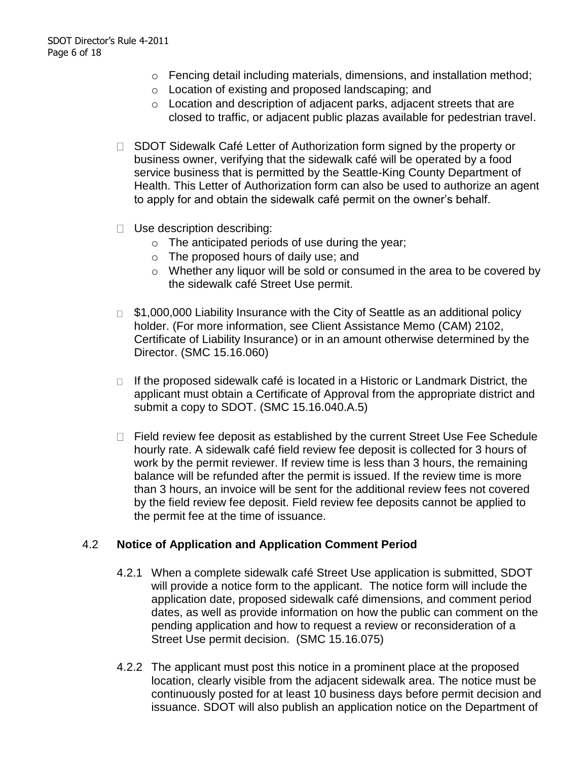- o Fencing detail including materials, dimensions, and installation method;
- o Location of existing and proposed landscaping; and
- o Location and description of adjacent parks, adjacent streets that are closed to traffic, or adjacent public plazas available for pedestrian travel.
- □ SDOT Sidewalk Café Letter of Authorization form signed by the property or business owner, verifying that the sidewalk café will be operated by a food service business that is permitted by the Seattle-King County Department of Health. This Letter of Authorization form can also be used to authorize an agent to apply for and obtain the sidewalk café permit on the owner's behalf.
- □ Use description describing:
	- $\circ$  The anticipated periods of use during the year;
	- o The proposed hours of daily use; and
	- o Whether any liquor will be sold or consumed in the area to be covered by the sidewalk café Street Use permit.
- $\Box$  \$1,000,000 Liability Insurance with the City of Seattle as an additional policy holder. (For more information, see Client Assistance Memo (CAM) 2102, Certificate of Liability Insurance) or in an amount otherwise determined by the Director. (SMC 15.16.060)
- $\Box$  If the proposed sidewalk café is located in a Historic or Landmark District, the applicant must obtain a Certificate of Approval from the appropriate district and submit a copy to SDOT. (SMC 15.16.040.A.5)
- $\Box$  Field review fee deposit as established by the current Street Use Fee Schedule hourly rate. A sidewalk café field review fee deposit is collected for 3 hours of work by the permit reviewer. If review time is less than 3 hours, the remaining balance will be refunded after the permit is issued. If the review time is more than 3 hours, an invoice will be sent for the additional review fees not covered by the field review fee deposit. Field review fee deposits cannot be applied to the permit fee at the time of issuance.

#### 4.2 **Notice of Application and Application Comment Period**

- 4.2.1 When a complete sidewalk café Street Use application is submitted, SDOT will provide a notice form to the applicant. The notice form will include the application date, proposed sidewalk café dimensions, and comment period dates, as well as provide information on how the public can comment on the pending application and how to request a review or reconsideration of a Street Use permit decision. (SMC 15.16.075)
- 4.2.2 The applicant must post this notice in a prominent place at the proposed location, clearly visible from the adjacent sidewalk area. The notice must be continuously posted for at least 10 business days before permit decision and issuance. SDOT will also publish an application notice on the Department of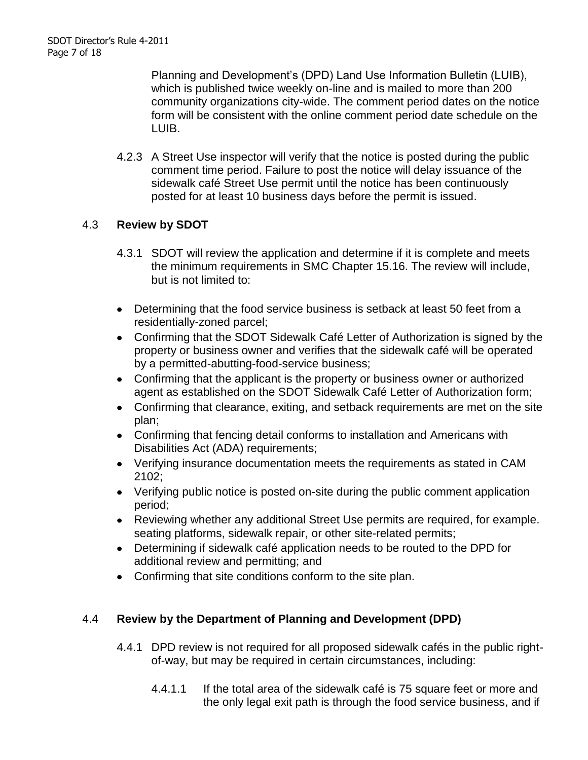Planning and Development's (DPD) Land Use Information Bulletin (LUIB), which is published twice weekly on-line and is mailed to more than 200 community organizations city-wide. The comment period dates on the notice form will be consistent with the online comment period date schedule on the LUIB.

4.2.3 A Street Use inspector will verify that the notice is posted during the public comment time period. Failure to post the notice will delay issuance of the sidewalk café Street Use permit until the notice has been continuously posted for at least 10 business days before the permit is issued.

# 4.3 **Review by SDOT**

- 4.3.1 SDOT will review the application and determine if it is complete and meets the minimum requirements in SMC Chapter 15.16. The review will include, but is not limited to:
- Determining that the food service business is setback at least 50 feet from a residentially-zoned parcel;
- Confirming that the SDOT Sidewalk Café Letter of Authorization is signed by the property or business owner and verifies that the sidewalk café will be operated by a permitted-abutting-food-service business;
- Confirming that the applicant is the property or business owner or authorized agent as established on the SDOT Sidewalk Café Letter of Authorization form;
- Confirming that clearance, exiting, and setback requirements are met on the site plan;
- Confirming that fencing detail conforms to installation and Americans with Disabilities Act (ADA) requirements;
- Verifying insurance documentation meets the requirements as stated in CAM 2102;
- Verifying public notice is posted on-site during the public comment application period;
- Reviewing whether any additional Street Use permits are required, for example. seating platforms, sidewalk repair, or other site-related permits;
- Determining if sidewalk café application needs to be routed to the DPD for additional review and permitting; and
- Confirming that site conditions conform to the site plan.

# 4.4 **Review by the Department of Planning and Development (DPD)**

- 4.4.1 DPD review is not required for all proposed sidewalk cafés in the public rightof-way, but may be required in certain circumstances, including:
	- 4.4.1.1 If the total area of the sidewalk café is 75 square feet or more and the only legal exit path is through the food service business, and if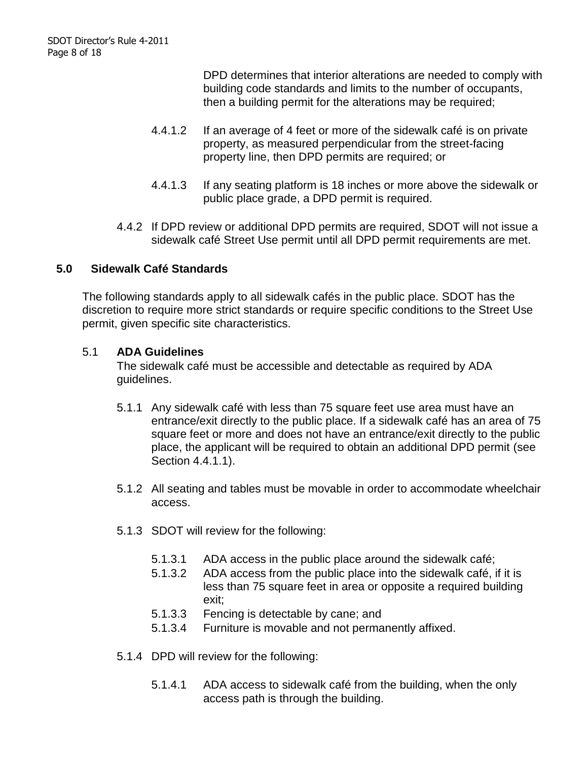DPD determines that interior alterations are needed to comply with building code standards and limits to the number of occupants, then a building permit for the alterations may be required;

- 4.4.1.2 If an average of 4 feet or more of the sidewalk café is on private property, as measured perpendicular from the street-facing property line, then DPD permits are required; or
- 4.4.1.3 If any seating platform is 18 inches or more above the sidewalk or public place grade, a DPD permit is required.
- 4.4.2 If DPD review or additional DPD permits are required, SDOT will not issue a sidewalk café Street Use permit until all DPD permit requirements are met.

# **5.0 Sidewalk Café Standards**

The following standards apply to all sidewalk cafés in the public place. SDOT has the discretion to require more strict standards or require specific conditions to the Street Use permit, given specific site characteristics.

#### 5.1 **ADA Guidelines**

The sidewalk café must be accessible and detectable as required by ADA guidelines.

- 5.1.1 Any sidewalk café with less than 75 square feet use area must have an entrance/exit directly to the public place. If a sidewalk café has an area of 75 square feet or more and does not have an entrance/exit directly to the public place, the applicant will be required to obtain an additional DPD permit (see Section 4.4.1.1).
- 5.1.2 All seating and tables must be movable in order to accommodate wheelchair access.
- 5.1.3 SDOT will review for the following:
	- 5.1.3.1 ADA access in the public place around the sidewalk café;
	- 5.1.3.2 ADA access from the public place into the sidewalk café, if it is less than 75 square feet in area or opposite a required building exit;
	- 5.1.3.3 Fencing is detectable by cane; and
	- 5.1.3.4 Furniture is movable and not permanently affixed.
- 5.1.4 DPD will review for the following:
	- 5.1.4.1 ADA access to sidewalk café from the building, when the only access path is through the building.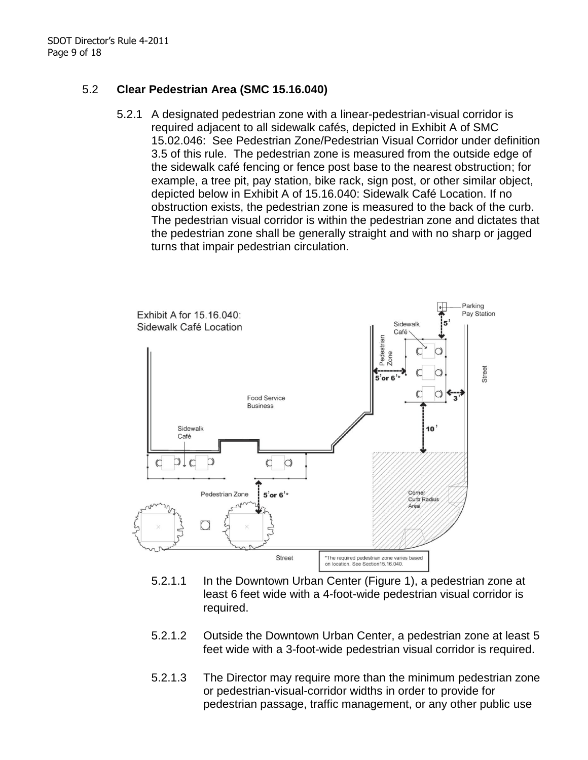# 5.2 **Clear Pedestrian Area (SMC 15.16.040)**

5.2.1 A designated pedestrian zone with a linear-pedestrian-visual corridor is required adjacent to all sidewalk cafés, depicted in Exhibit A of SMC 15.02.046: See Pedestrian Zone/Pedestrian Visual Corridor under definition 3.5 of this rule. The pedestrian zone is measured from the outside edge of the sidewalk café fencing or fence post base to the nearest obstruction; for example, a tree pit, pay station, bike rack, sign post, or other similar object, depicted below in Exhibit A of 15.16.040: Sidewalk Café Location. If no obstruction exists, the pedestrian zone is measured to the back of the curb. The pedestrian visual corridor is within the pedestrian zone and dictates that the pedestrian zone shall be generally straight and with no sharp or jagged turns that impair pedestrian circulation.



- 5.2.1.1 In the Downtown Urban Center (Figure 1), a pedestrian zone at least 6 feet wide with a 4-foot-wide pedestrian visual corridor is required.
- 5.2.1.2 Outside the Downtown Urban Center, a pedestrian zone at least 5 feet wide with a 3-foot-wide pedestrian visual corridor is required.
- 5.2.1.3 The Director may require more than the minimum pedestrian zone or pedestrian-visual-corridor widths in order to provide for pedestrian passage, traffic management, or any other public use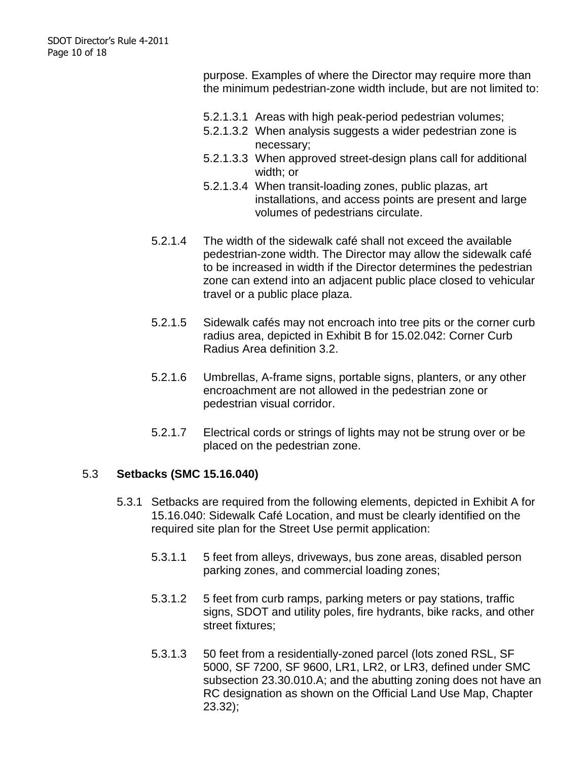purpose. Examples of where the Director may require more than the minimum pedestrian-zone width include, but are not limited to:

- 5.2.1.3.1 Areas with high peak-period pedestrian volumes;
- 5.2.1.3.2 When analysis suggests a wider pedestrian zone is necessary;
- 5.2.1.3.3 When approved street-design plans call for additional width; or
- 5.2.1.3.4 When transit-loading zones, public plazas, art installations, and access points are present and large volumes of pedestrians circulate.
- 5.2.1.4 The width of the sidewalk café shall not exceed the available pedestrian-zone width. The Director may allow the sidewalk café to be increased in width if the Director determines the pedestrian zone can extend into an adjacent public place closed to vehicular travel or a public place plaza.
- 5.2.1.5 Sidewalk cafés may not encroach into tree pits or the corner curb radius area, depicted in Exhibit B for 15.02.042: Corner Curb Radius Area definition 3.2.
- 5.2.1.6 Umbrellas, A-frame signs, portable signs, planters, or any other encroachment are not allowed in the pedestrian zone or pedestrian visual corridor.
- 5.2.1.7 Electrical cords or strings of lights may not be strung over or be placed on the pedestrian zone.

#### 5.3 **Setbacks (SMC 15.16.040)**

- 5.3.1 Setbacks are required from the following elements, depicted in Exhibit A for 15.16.040: Sidewalk Café Location, and must be clearly identified on the required site plan for the Street Use permit application:
	- 5.3.1.1 5 feet from alleys, driveways, bus zone areas, disabled person parking zones, and commercial loading zones;
	- 5.3.1.2 5 feet from curb ramps, parking meters or pay stations, traffic signs, SDOT and utility poles, fire hydrants, bike racks, and other street fixtures;
	- 5.3.1.3 50 feet from a residentially-zoned parcel (lots zoned RSL, SF 5000, SF 7200, SF 9600, LR1, LR2, or LR3, defined under SMC subsection 23.30.010.A; and the abutting zoning does not have an RC designation as shown on the Official Land Use Map, Chapter 23.32);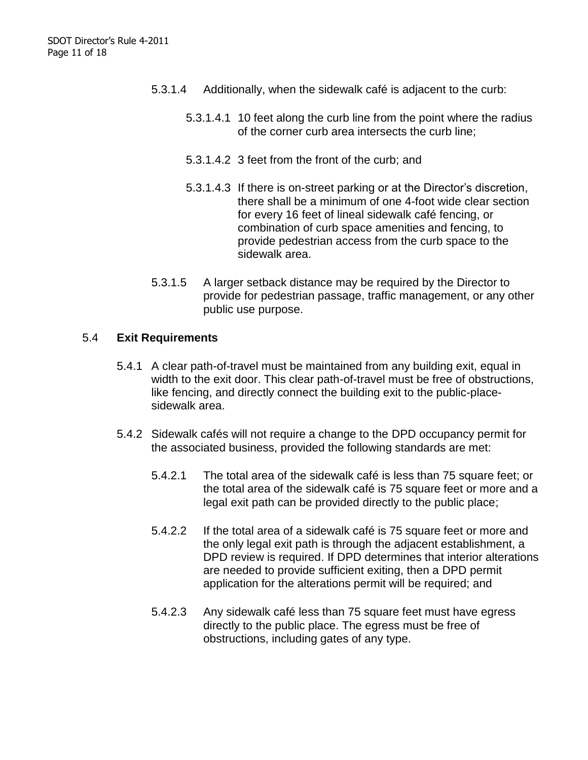- 5.3.1.4 Additionally, when the sidewalk café is adjacent to the curb:
	- 5.3.1.4.1 10 feet along the curb line from the point where the radius of the corner curb area intersects the curb line;
	- 5.3.1.4.2 3 feet from the front of the curb; and
	- 5.3.1.4.3 If there is on-street parking or at the Director's discretion, there shall be a minimum of one 4-foot wide clear section for every 16 feet of lineal sidewalk café fencing, or combination of curb space amenities and fencing, to provide pedestrian access from the curb space to the sidewalk area.
- 5.3.1.5 A larger setback distance may be required by the Director to provide for pedestrian passage, traffic management, or any other public use purpose.

#### 5.4 **Exit Requirements**

- 5.4.1 A clear path-of-travel must be maintained from any building exit, equal in width to the exit door. This clear path-of-travel must be free of obstructions, like fencing, and directly connect the building exit to the public-placesidewalk area.
- 5.4.2 Sidewalk cafés will not require a change to the DPD occupancy permit for the associated business, provided the following standards are met:
	- 5.4.2.1 The total area of the sidewalk café is less than 75 square feet; or the total area of the sidewalk café is 75 square feet or more and a legal exit path can be provided directly to the public place;
	- 5.4.2.2 If the total area of a sidewalk café is 75 square feet or more and the only legal exit path is through the adjacent establishment, a DPD review is required. If DPD determines that interior alterations are needed to provide sufficient exiting, then a DPD permit application for the alterations permit will be required; and
	- 5.4.2.3 Any sidewalk café less than 75 square feet must have egress directly to the public place. The egress must be free of obstructions, including gates of any type.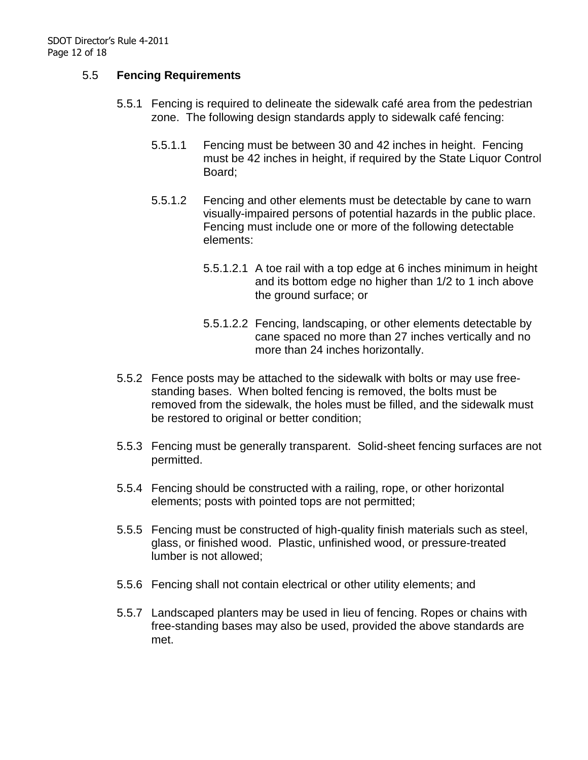#### 5.5 **Fencing Requirements**

- 5.5.1 Fencing is required to delineate the sidewalk café area from the pedestrian zone. The following design standards apply to sidewalk café fencing:
	- 5.5.1.1 Fencing must be between 30 and 42 inches in height. Fencing must be 42 inches in height, if required by the State Liquor Control Board;
	- 5.5.1.2 Fencing and other elements must be detectable by cane to warn visually-impaired persons of potential hazards in the public place. Fencing must include one or more of the following detectable elements:
		- 5.5.1.2.1 A toe rail with a top edge at 6 inches minimum in height and its bottom edge no higher than 1/2 to 1 inch above the ground surface; or
		- 5.5.1.2.2 Fencing, landscaping, or other elements detectable by cane spaced no more than 27 inches vertically and no more than 24 inches horizontally.
- 5.5.2 Fence posts may be attached to the sidewalk with bolts or may use freestanding bases. When bolted fencing is removed, the bolts must be removed from the sidewalk, the holes must be filled, and the sidewalk must be restored to original or better condition;
- 5.5.3 Fencing must be generally transparent. Solid-sheet fencing surfaces are not permitted.
- 5.5.4 Fencing should be constructed with a railing, rope, or other horizontal elements; posts with pointed tops are not permitted;
- 5.5.5 Fencing must be constructed of high-quality finish materials such as steel, glass, or finished wood. Plastic, unfinished wood, or pressure-treated lumber is not allowed;
- 5.5.6 Fencing shall not contain electrical or other utility elements; and
- 5.5.7 Landscaped planters may be used in lieu of fencing. Ropes or chains with free-standing bases may also be used, provided the above standards are met.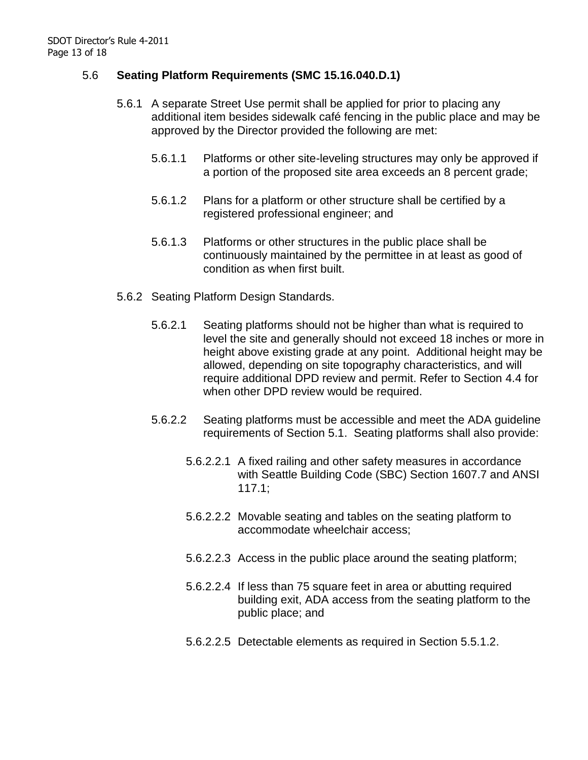#### 5.6 **Seating Platform Requirements (SMC 15.16.040.D.1)**

- 5.6.1 A separate Street Use permit shall be applied for prior to placing any additional item besides sidewalk café fencing in the public place and may be approved by the Director provided the following are met:
	- 5.6.1.1 Platforms or other site-leveling structures may only be approved if a portion of the proposed site area exceeds an 8 percent grade;
	- 5.6.1.2 Plans for a platform or other structure shall be certified by a registered professional engineer; and
	- 5.6.1.3 Platforms or other structures in the public place shall be continuously maintained by the permittee in at least as good of condition as when first built.
- 5.6.2 Seating Platform Design Standards.
	- 5.6.2.1 Seating platforms should not be higher than what is required to level the site and generally should not exceed 18 inches or more in height above existing grade at any point. Additional height may be allowed, depending on site topography characteristics, and will require additional DPD review and permit. Refer to Section 4.4 for when other DPD review would be required.
	- 5.6.2.2 Seating platforms must be accessible and meet the ADA guideline requirements of Section 5.1. Seating platforms shall also provide:
		- 5.6.2.2.1 A fixed railing and other safety measures in accordance with Seattle Building Code (SBC) Section 1607.7 and ANSI 117.1;
		- 5.6.2.2.2 Movable seating and tables on the seating platform to accommodate wheelchair access;
		- 5.6.2.2.3 Access in the public place around the seating platform;
		- 5.6.2.2.4 If less than 75 square feet in area or abutting required building exit, ADA access from the seating platform to the public place; and
		- 5.6.2.2.5 Detectable elements as required in Section 5.5.1.2.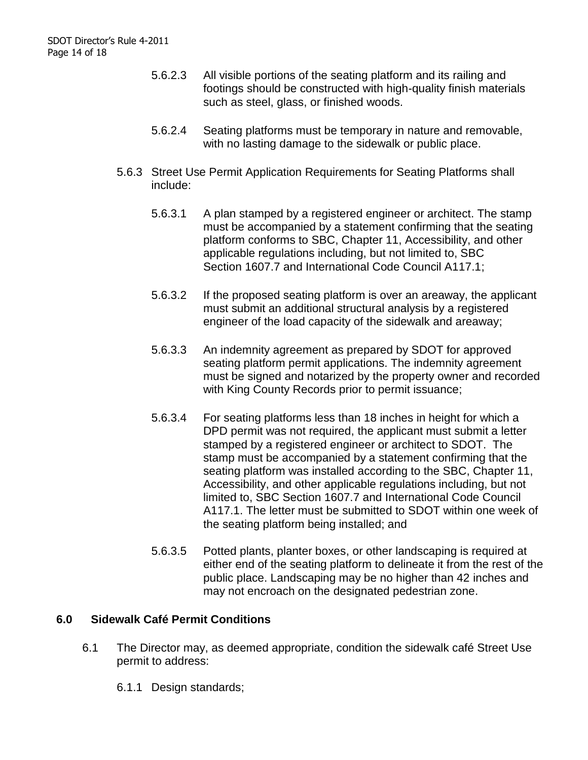- 5.6.2.3 All visible portions of the seating platform and its railing and footings should be constructed with high-quality finish materials such as steel, glass, or finished woods.
- 5.6.2.4 Seating platforms must be temporary in nature and removable, with no lasting damage to the sidewalk or public place.
- 5.6.3 Street Use Permit Application Requirements for Seating Platforms shall include:
	- 5.6.3.1 A plan stamped by a registered engineer or architect. The stamp must be accompanied by a statement confirming that the seating platform conforms to SBC, Chapter 11, Accessibility, and other applicable regulations including, but not limited to, SBC Section 1607.7 and International Code Council A117.1;
	- 5.6.3.2 If the proposed seating platform is over an areaway, the applicant must submit an additional structural analysis by a registered engineer of the load capacity of the sidewalk and areaway;
	- 5.6.3.3 An indemnity agreement as prepared by SDOT for approved seating platform permit applications. The indemnity agreement must be signed and notarized by the property owner and recorded with King County Records prior to permit issuance;
	- 5.6.3.4 For seating platforms less than 18 inches in height for which a DPD permit was not required, the applicant must submit a letter stamped by a registered engineer or architect to SDOT. The stamp must be accompanied by a statement confirming that the seating platform was installed according to the SBC, Chapter 11, Accessibility, and other applicable regulations including, but not limited to, SBC Section 1607.7 and International Code Council A117.1. The letter must be submitted to SDOT within one week of the seating platform being installed; and
	- 5.6.3.5 Potted plants, planter boxes, or other landscaping is required at either end of the seating platform to delineate it from the rest of the public place. Landscaping may be no higher than 42 inches and may not encroach on the designated pedestrian zone.

#### **6.0 Sidewalk Café Permit Conditions**

- 6.1 The Director may, as deemed appropriate, condition the sidewalk café Street Use permit to address:
	- 6.1.1 Design standards;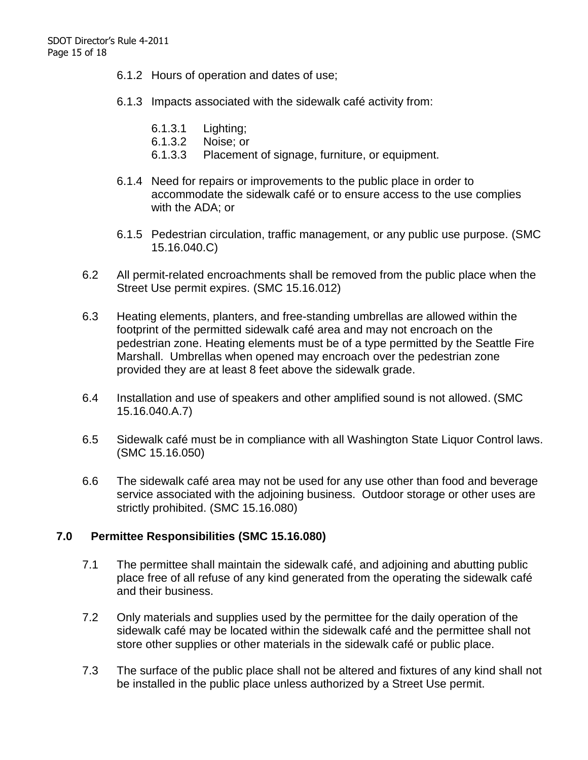- 6.1.2 Hours of operation and dates of use;
- 6.1.3 Impacts associated with the sidewalk café activity from:
	- 6.1.3.1 Lighting;
	- 6.1.3.2 Noise; or
	- 6.1.3.3 Placement of signage, furniture, or equipment.
- 6.1.4 Need for repairs or improvements to the public place in order to accommodate the sidewalk café or to ensure access to the use complies with the ADA; or
- 6.1.5 Pedestrian circulation, traffic management, or any public use purpose. (SMC 15.16.040.C)
- 6.2 All permit-related encroachments shall be removed from the public place when the Street Use permit expires. (SMC 15.16.012)
- 6.3 Heating elements, planters, and free-standing umbrellas are allowed within the footprint of the permitted sidewalk café area and may not encroach on the pedestrian zone. Heating elements must be of a type permitted by the Seattle Fire Marshall. Umbrellas when opened may encroach over the pedestrian zone provided they are at least 8 feet above the sidewalk grade.
- 6.4 Installation and use of speakers and other amplified sound is not allowed. (SMC 15.16.040.A.7)
- 6.5 Sidewalk café must be in compliance with all Washington State Liquor Control laws. (SMC 15.16.050)
- 6.6 The sidewalk café area may not be used for any use other than food and beverage service associated with the adjoining business. Outdoor storage or other uses are strictly prohibited. (SMC 15.16.080)

#### **7.0 Permittee Responsibilities (SMC 15.16.080)**

- 7.1 The permittee shall maintain the sidewalk café, and adjoining and abutting public place free of all refuse of any kind generated from the operating the sidewalk café and their business.
- 7.2 Only materials and supplies used by the permittee for the daily operation of the sidewalk café may be located within the sidewalk café and the permittee shall not store other supplies or other materials in the sidewalk café or public place.
- 7.3 The surface of the public place shall not be altered and fixtures of any kind shall not be installed in the public place unless authorized by a Street Use permit.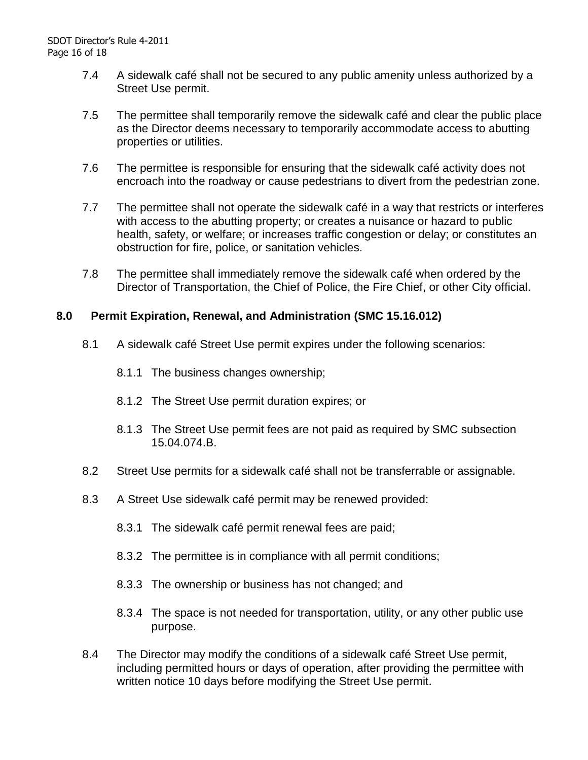- 7.4 A sidewalk café shall not be secured to any public amenity unless authorized by a Street Use permit.
- 7.5 The permittee shall temporarily remove the sidewalk café and clear the public place as the Director deems necessary to temporarily accommodate access to abutting properties or utilities.
- 7.6 The permittee is responsible for ensuring that the sidewalk café activity does not encroach into the roadway or cause pedestrians to divert from the pedestrian zone.
- 7.7 The permittee shall not operate the sidewalk café in a way that restricts or interferes with access to the abutting property; or creates a nuisance or hazard to public health, safety, or welfare; or increases traffic congestion or delay; or constitutes an obstruction for fire, police, or sanitation vehicles.
- 7.8 The permittee shall immediately remove the sidewalk café when ordered by the Director of Transportation, the Chief of Police, the Fire Chief, or other City official.

#### **8.0 Permit Expiration, Renewal, and Administration (SMC 15.16.012)**

- 8.1 A sidewalk café Street Use permit expires under the following scenarios:
	- 8.1.1 The business changes ownership;
	- 8.1.2 The Street Use permit duration expires; or
	- 8.1.3 The Street Use permit fees are not paid as required by SMC subsection 15.04.074.B.
- 8.2 Street Use permits for a sidewalk café shall not be transferrable or assignable.
- 8.3 A Street Use sidewalk café permit may be renewed provided:
	- 8.3.1 The sidewalk café permit renewal fees are paid;
	- 8.3.2 The permittee is in compliance with all permit conditions;
	- 8.3.3 The ownership or business has not changed; and
	- 8.3.4 The space is not needed for transportation, utility, or any other public use purpose.
- 8.4 The Director may modify the conditions of a sidewalk café Street Use permit, including permitted hours or days of operation, after providing the permittee with written notice 10 days before modifying the Street Use permit.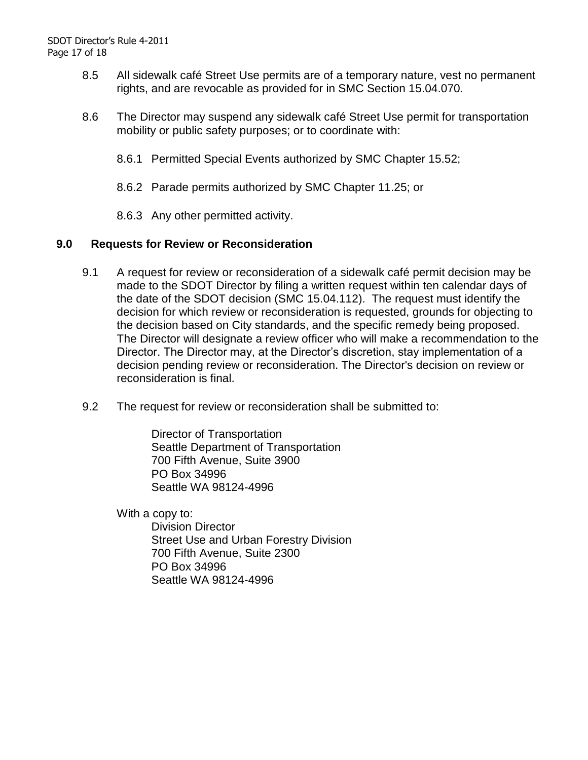- 8.5 All sidewalk café Street Use permits are of a temporary nature, vest no permanent rights, and are revocable as provided for in SMC Section 15.04.070.
- 8.6 The Director may suspend any sidewalk café Street Use permit for transportation mobility or public safety purposes; or to coordinate with:
	- 8.6.1 Permitted Special Events authorized by SMC Chapter 15.52;
	- 8.6.2 Parade permits authorized by SMC Chapter 11.25; or
	- 8.6.3 Any other permitted activity.

#### **9.0 Requests for Review or Reconsideration**

- 9.1 A request for review or reconsideration of a sidewalk café permit decision may be made to the SDOT Director by filing a written request within ten calendar days of the date of the SDOT decision (SMC 15.04.112). The request must identify the decision for which review or reconsideration is requested, grounds for objecting to the decision based on City standards, and the specific remedy being proposed. The Director will designate a review officer who will make a recommendation to the Director. The Director may, at the Director's discretion, stay implementation of a decision pending review or reconsideration. The Director's decision on review or reconsideration is final.
- 9.2 The request for review or reconsideration shall be submitted to:

Director of Transportation Seattle Department of Transportation 700 Fifth Avenue, Suite 3900 PO Box 34996 Seattle WA 98124-4996

With a copy to:

Division Director Street Use and Urban Forestry Division 700 Fifth Avenue, Suite 2300 PO Box 34996 Seattle WA 98124-4996